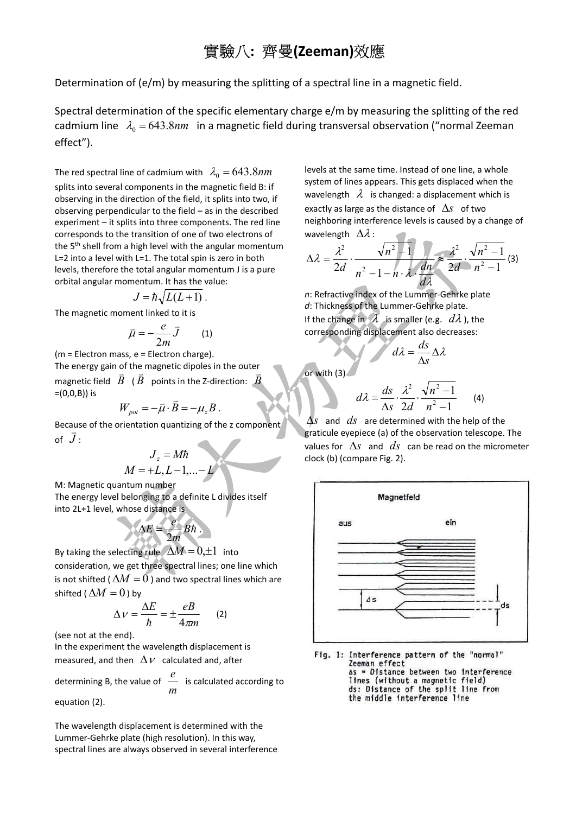# 實驗八: 齊曼(Zeeman)效應

Determination of (e/m) by measuring the splitting of a spectral line in a magnetic field.

Spectral determination of the specific elementary charge e/m by measuring the splitting of the red cadmium line  $\lambda_0 = 643.8nm$  in a magnetic field during transversal observation ("normal Zeeman effect").

The red spectral line of cadmium with  $\lambda_0 = 643.8nm$ 

splits into several components in the magnetic field B: if observing in the direction of the field, it splits into two, if observing perpendicular to the field – as in the described experiment – it splits into three components. The red line corresponds to the transition of one of two electrons of the 5<sup>th</sup> shell from a high level with the angular momentum L=2 into a level with L=1. The total spin is zero in both levels, therefore the total angular momentum J is a pure orbital angular momentum. It has the value:

$$
J=\hbar\sqrt{L(L+1)}\,.
$$

The magnetic moment linked to it is

$$
\bar{\mu} = -\frac{e}{2m}\bar{J} \qquad (1)
$$

(m = Electron mass, e = Electron charge). The energy gain of the magnetic dipoles in the outer magnetic field  $|\bar{B}|$  (  $|\bar{B}|$  points in the Z-direction:  $|\bar{B}|$ =(0,0,B)) is

$$
W_{pot} = -\vec{\mu} \cdot \vec{B} = -\mu_z B
$$

.

Because of the orientation quantizing of the z component of  $\bar{J}$  :

$$
J_z = M\hbar
$$

$$
M = +L, L-1, \dots -L
$$

M: Magnetic quantum number The energy level belonging to a definite L divides itself into 2L+1 level, whose distance is

$$
\Delta E = \frac{e}{2m} Bh.
$$

By taking the selecting rule  $\Delta M = 0,\pm 1$  into consideration, we get three spectral lines; one line which is not shifted (  $\Delta M = 0$  ) and two spectral lines which are shifted ( $\Delta M = 0$ ) by

$$
\Delta V = \frac{\Delta E}{\hbar} = \pm \frac{eB}{4\pi m} \qquad (2)
$$

(see not at the end).

In the experiment the wavelength displacement is measured, and then  $\Delta V$  calculated and, after

determining B, the value of  $\frac{m}{m}$  $\stackrel{e}{=}$  is calculated according to equation (2).

The wavelength displacement is determined with the Lummer-Gehrke plate (high resolution). In this way, spectral lines are always observed in several interference levels at the same time. Instead of one line, a whole system of lines appears. This gets displaced when the wavelength  $\lambda$  is changed: a displacement which is exactly as large as the distance of  $\Delta s$  of two neighboring interference levels is caused by a change of wavelength  $\Delta \lambda$ :  $\mathcal{L}$ 

$$
\Delta \lambda = \frac{\lambda^2}{2d} \cdot \frac{\sqrt{n^2 + 1}}{n^2 - 1 - n \cdot \lambda} \cdot \frac{\lambda^2}{dn} \approx \frac{\lambda^2}{2d} \cdot \frac{\sqrt{n^2 - 1}}{n^2 - 1} (3)
$$

n: Refractive index of the Lummer-Gehrke plate d: Thickness of the Lummer-Gehrke plate. If the change in  $\lambda$  is smaller (e.g.  $d\lambda$ ), the corresponding displacement also decreases:

$$
d\lambda = \frac{ds}{\Delta s} \Delta \lambda
$$

or with (3)

$$
d\lambda = \frac{ds}{\Delta s} \cdot \frac{\lambda^2}{2d} \cdot \frac{\sqrt{n^2 - 1}}{n^2 - 1}
$$
 (4)

 $\Delta s$  and  $ds$  are determined with the help of the graticule eyepiece (a) of the observation telescope. The values for  $\Delta s$  and  $ds$  can be read on the micrometer clock (b) (compare Fig. 2).



Fig. 1: Interference pattern of the "normal" Zeeman effect As = Distance between two interference lines (without a magnetic field) ds: Distance of the split line from the middle interference line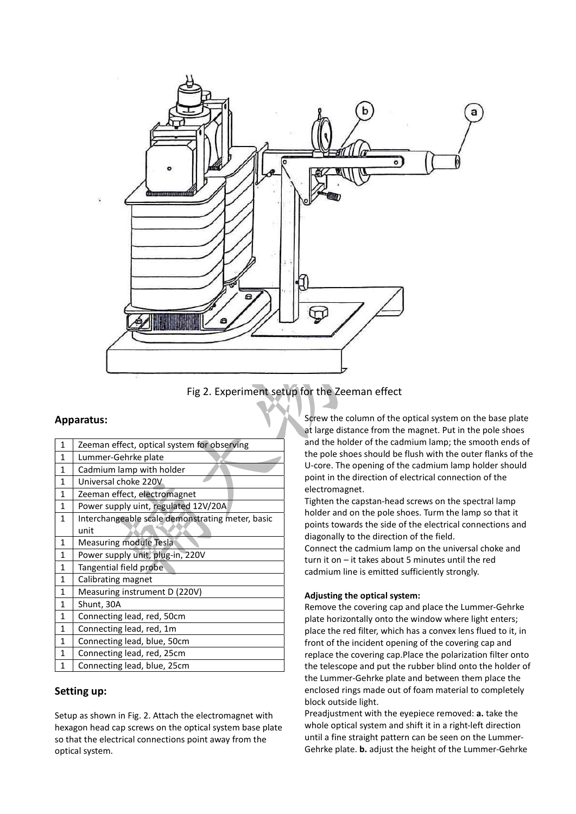

Fig 2. Experiment setup for the Zeeman effect

# Apparatus:

| 1            | Zeeman effect, optical system for observing      |  |
|--------------|--------------------------------------------------|--|
| $\mathbf{1}$ | Lummer-Gehrke plate                              |  |
| $\mathbf{1}$ | Cadmium lamp with holder                         |  |
| $\mathbf{1}$ | Universal choke 220V                             |  |
| $\mathbf{1}$ | Zeeman effect, electromagnet                     |  |
| $\mathbf{1}$ | Power supply uint, regulated 12V/20A             |  |
| $\mathbf{1}$ | Interchangeable scale demonstrating meter, basic |  |
|              | unit                                             |  |
| 1            | <b>Measuring module Tesla</b>                    |  |
| $\mathbf{1}$ | Power supply unit, plug-in, 220V                 |  |
| $\mathbf{1}$ | Tangential field probe                           |  |
| $\mathbf{1}$ | Calibrating magnet                               |  |
| 1            | Measuring instrument D (220V)                    |  |
| 1            | Shunt, 30A                                       |  |
| $\mathbf{1}$ | Connecting lead, red, 50cm                       |  |
| $\mathbf{1}$ | Connecting lead, red, 1m                         |  |
| $\mathbf{1}$ | Connecting lead, blue, 50cm                      |  |
| $\mathbf{1}$ | Connecting lead, red, 25cm                       |  |
| 1            | Connecting lead, blue, 25cm                      |  |

# Setting up:

Setup as shown in Fig. 2. Attach the electromagnet with hexagon head cap screws on the optical system base plate so that the electrical connections point away from the optical system.

Screw the column of the optical system on the base plate at large distance from the magnet. Put in the pole shoes and the holder of the cadmium lamp; the smooth ends of the pole shoes should be flush with the outer flanks of the U-core. The opening of the cadmium lamp holder should point in the direction of electrical connection of the electromagnet.

Tighten the capstan-head screws on the spectral lamp holder and on the pole shoes. Turm the lamp so that it points towards the side of the electrical connections and diagonally to the direction of the field.

Connect the cadmium lamp on the universal choke and turn it on – it takes about 5 minutes until the red cadmium line is emitted sufficiently strongly.

## Adjusting the optical system:

Remove the covering cap and place the Lummer-Gehrke plate horizontally onto the window where light enters; place the red filter, which has a convex lens flued to it, in front of the incident opening of the covering cap and replace the covering cap.Place the polarization filter onto the telescope and put the rubber blind onto the holder of the Lummer-Gehrke plate and between them place the enclosed rings made out of foam material to completely block outside light.

Preadjustment with the eyepiece removed: a. take the whole optical system and shift it in a right-left direction until a fine straight pattern can be seen on the Lummer-Gehrke plate. b. adjust the height of the Lummer-Gehrke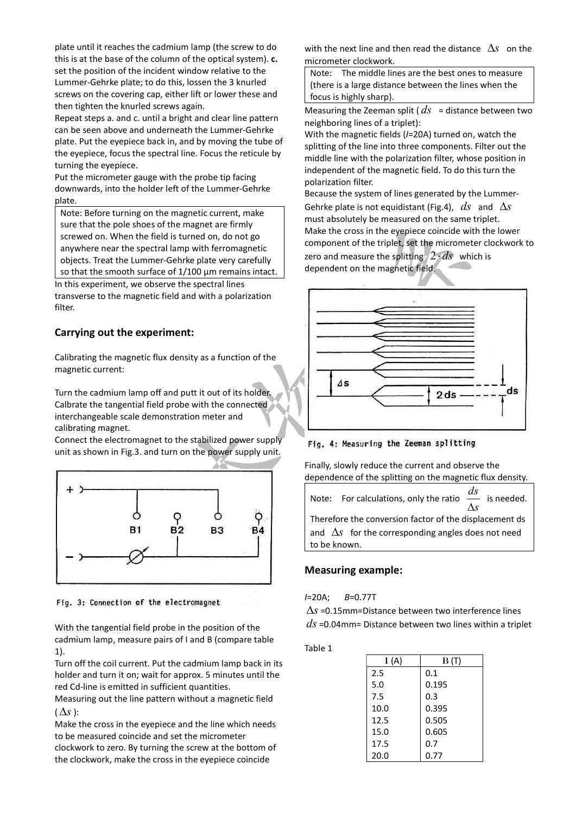plate until it reaches the cadmium lamp (the screw to do this is at the base of the column of the optical system). c. set the position of the incident window relative to the Lummer-Gehrke plate; to do this, lossen the 3 knurled screws on the covering cap, either lift or lower these and then tighten the knurled screws again.

Repeat steps a. and c. until a bright and clear line pattern can be seen above and underneath the Lummer-Gehrke plate. Put the eyepiece back in, and by moving the tube of the eyepiece, focus the spectral line. Focus the reticule by turning the eyepiece.

Put the micrometer gauge with the probe tip facing downwards, into the holder left of the Lummer-Gehrke plate.

Note: Before turning on the magnetic current, make sure that the pole shoes of the magnet are firmly screwed on. When the field is turned on, do not go anywhere near the spectral lamp with ferromagnetic objects. Treat the Lummer-Gehrke plate very carefully so that the smooth surface of 1/100 μm remains intact. In this experiment, we observe the spectral lines

transverse to the magnetic field and with a polarization filter.

# Carrying out the experiment:

Calibrating the magnetic flux density as a function of the magnetic current:

Turn the cadmium lamp off and putt it out of its holder. Calbrate the tangential field probe with the connected interchangeable scale demonstration meter and calibrating magnet.

Connect the electromagnet to the stabilized power supply unit as shown in Fig.3. and turn on the power supply unit.



Fig. 3: Connection of the electromagnet

With the tangential field probe in the position of the cadmium lamp, measure pairs of I and B (compare table 1).

Turn off the coil current. Put the cadmium lamp back in its holder and turn it on; wait for approx. 5 minutes until the red Cd-line is emitted in sufficient quantities.

Measuring out the line pattern without a magnetic field  $(\Delta s):$ 

Make the cross in the eyepiece and the line which needs to be measured coincide and set the micrometer clockwork to zero. By turning the screw at the bottom of the clockwork, make the cross in the eyepiece coincide

with the next line and then read the distance  $\Delta s$  on the micrometer clockwork.

Note: The middle lines are the best ones to measure (there is a large distance between the lines when the focus is highly sharp).

Measuring the Zeeman split ( $ds$  = distance between two neighboring lines of a triplet):

With the magnetic fields (I=20A) turned on, watch the splitting of the line into three components. Filter out the middle line with the polarization filter, whose position in independent of the magnetic field. To do this turn the polarization filter.

Because the system of lines generated by the Lummer-Gehrke plate is not equidistant (Fig.4),  $ds$  and  $\Delta s$ must absolutely be measured on the same triplet. Make the cross in the eyepiece coincide with the lower component of the triplet, set the micrometer clockwork to zero and measure the splitting  $2 \cdot ds$  which is dependent on the magnetic field.



Fig. 4: Measuring the Zeeman splitting

Finally, slowly reduce the current and observe the dependence of the splitting on the magnetic flux density.



# Measuring example:

I=20A; B=0.77T

 $\Delta s$  =0.15mm=Distance between two interference lines  $ds$  =0.04mm= Distance between two lines within a triplet

Table 1

| I(A) | B(T)  |
|------|-------|
| 2.5  | 0.1   |
| 5.0  | 0.195 |
| 7.5  | 0.3   |
| 10.0 | 0.395 |
| 12.5 | 0.505 |
| 15.0 | 0.605 |
| 17.5 | 0.7   |
| 20.0 | 0.77  |